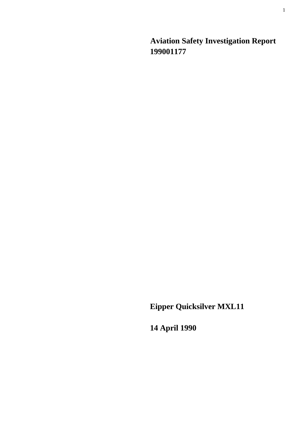**Aviation Safety Investigation Report 199001177** 

**Eipper Quicksilver MXL11** 

**14 April 1990**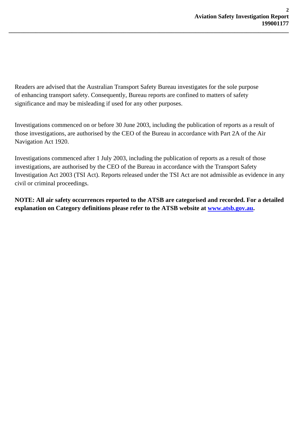Readers are advised that the Australian Transport Safety Bureau investigates for the sole purpose of enhancing transport safety. Consequently, Bureau reports are confined to matters of safety significance and may be misleading if used for any other purposes.

**\_\_\_\_\_\_\_\_\_\_\_\_\_\_\_\_\_\_\_\_\_\_\_\_\_\_\_\_\_\_\_\_\_\_\_\_\_\_\_\_\_\_\_\_\_\_\_\_\_\_\_\_\_\_\_\_\_\_\_\_\_\_\_\_\_\_\_\_\_\_\_\_\_\_\_\_\_\_\_\_\_\_\_\_\_\_\_\_\_\_\_\_\_** 

Investigations commenced on or before 30 June 2003, including the publication of reports as a result of those investigations, are authorised by the CEO of the Bureau in accordance with Part 2A of the Air Navigation Act 1920.

Investigations commenced after 1 July 2003, including the publication of reports as a result of those investigations, are authorised by the CEO of the Bureau in accordance with the Transport Safety Investigation Act 2003 (TSI Act). Reports released under the TSI Act are not admissible as evidence in any civil or criminal proceedings.

**NOTE: All air safety occurrences reported to the ATSB are categorised and recorded. For a detailed explanation on Category definitions please refer to the ATSB website at [www.atsb.gov.au](http://www.atsb.gov.au/).**